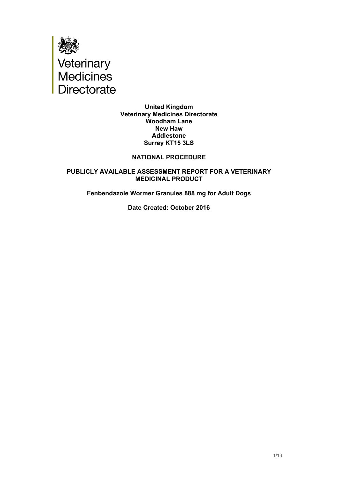

### **United Kingdom Veterinary Medicines Directorate Woodham Lane New Haw Addlestone Surrey KT15 3LS**

## **NATIONAL PROCEDURE**

## **PUBLICLY AVAILABLE ASSESSMENT REPORT FOR A VETERINARY MEDICINAL PRODUCT**

## **Fenbendazole Wormer Granules 888 mg for Adult Dogs**

#### **Date Created: October 2016**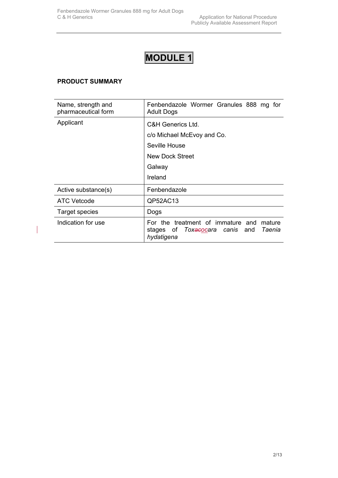# **MODULE 1**

## **PRODUCT SUMMARY**

 $\overline{\phantom{a}}$ 

| Name, strength and<br>pharmaceutical form | Fenbendazole Wormer Granules 888 mg for<br><b>Adult Dogs</b>                                                             |
|-------------------------------------------|--------------------------------------------------------------------------------------------------------------------------|
| Applicant                                 | C&H Generics Ltd.                                                                                                        |
|                                           | c/o Michael McEvoy and Co.                                                                                               |
|                                           | Seville House                                                                                                            |
|                                           | New Dock Street                                                                                                          |
|                                           | Galway                                                                                                                   |
|                                           | Ireland                                                                                                                  |
| Active substance(s)                       | Fenbendazole                                                                                                             |
| <b>ATC Vetcode</b>                        | QP52AC13                                                                                                                 |
| Target species                            | Dogs                                                                                                                     |
| Indication for use                        | For the treatment of immature and mature<br>stages of <i>Tox<del>ac</del>ocara canis</i> and <i>Taenia</i><br>hydatigena |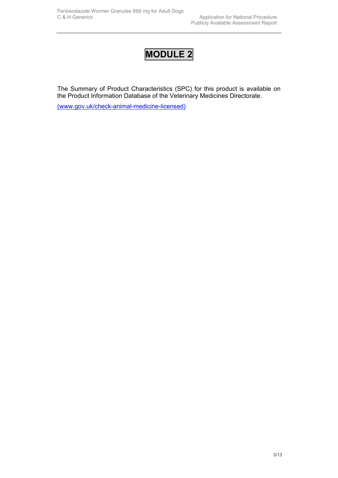## **MODULE 2**

The Summary of Product Characteristics (SPC) for this product is available on the Product Information Database of the Veterinary Medicines Directorate.

[\(www.gov.uk/check-animal-medicine-licensed\)](https://www.gov.uk/check-animal-medicine-licensed)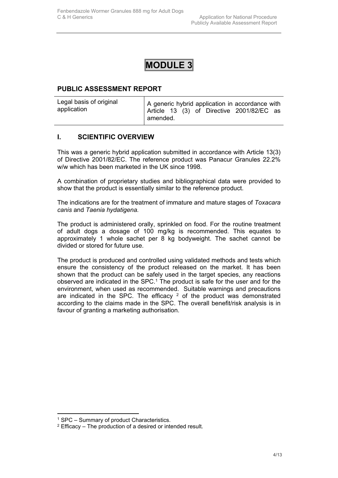## **MODULE 3**

## **PUBLIC ASSESSMENT REPORT**

| Legal basis of original |          |  |  | A generic hybrid application in accordance with |  |
|-------------------------|----------|--|--|-------------------------------------------------|--|
| application             |          |  |  | Article 13 (3) of Directive 2001/82/EC as       |  |
|                         | amended. |  |  |                                                 |  |

## **I. SCIENTIFIC OVERVIEW**

This was a generic hybrid application submitted in accordance with Article 13(3) of Directive 2001/82/EC. The reference product was Panacur Granules 22.2% w/w which has been marketed in the UK since 1998.

A combination of proprietary studies and bibliographical data were provided to show that the product is essentially similar to the reference product.

The indications are for the treatment of immature and mature stages of *Toxacara canis* and *Taenia hydatigena.*

The product is administered orally, sprinkled on food. For the routine treatment of adult dogs a dosage of 100 mg/kg is recommended. This equates to approximately 1 whole sachet per 8 kg bodyweight. The sachet cannot be divided or stored for future use.

The product is produced and controlled using validated methods and tests which ensure the consistency of the product released on the market. It has been shown that the product can be safely used in the target species, any reactions observed are indicated in the SPC.<sup>1</sup> The product is safe for the user and for the environment, when used as recommended. Suitable warnings and precautions are indicated in the SPC. The efficacy  $2$  of the product was demonstrated according to the claims made in the SPC. The overall benefit/risk analysis is in favour of granting a marketing authorisation.

<sup>1</sup> SPC – Summary of product Characteristics.

 $2$  Efficacy – The production of a desired or intended result.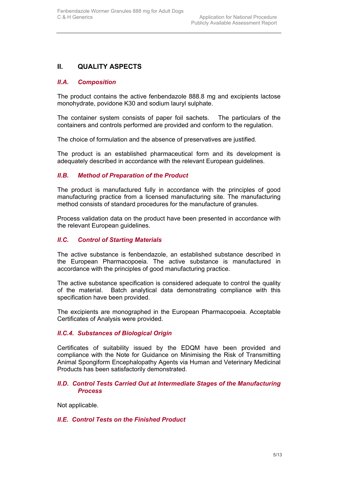## **II. QUALITY ASPECTS**

## *II.A. Composition*

The product contains the active fenbendazole 888.8 mg and excipients lactose monohydrate, povidone K30 and sodium lauryl sulphate.

The container system consists of paper foil sachets. The particulars of the containers and controls performed are provided and conform to the regulation.

The choice of formulation and the absence of preservatives are justified.

The product is an established pharmaceutical form and its development is adequately described in accordance with the relevant European guidelines.

## *II.B. Method of Preparation of the Product*

The product is manufactured fully in accordance with the principles of good manufacturing practice from a licensed manufacturing site*.* The manufacturing method consists of standard procedures for the manufacture of granules.

Process validation data on the product have been presented in accordance with the relevant European guidelines.

## *II.C. Control of Starting Materials*

The active substance is fenbendazole, an established substance described in the European Pharmacopoeia. The active substance is manufactured in accordance with the principles of good manufacturing practice.

The active substance specification is considered adequate to control the quality of the material. Batch analytical data demonstrating compliance with this specification have been provided.

The excipients are monographed in the European Pharmacopoeia. Acceptable Certificates of Analysis were provided.

## *II.C.4. Substances of Biological Origin*

Certificates of suitability issued by the EDQM have been provided and compliance with the Note for Guidance on Minimising the Risk of Transmitting Animal Spongiform Encephalopathy Agents via Human and Veterinary Medicinal Products has been satisfactorily demonstrated.

## *II.D. Control Tests Carried Out at Intermediate Stages of the Manufacturing Process*

Not applicable.

## *II.E. Control Tests on the Finished Product*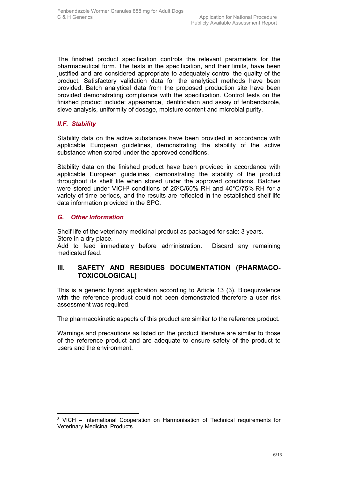The finished product specification controls the relevant parameters for the pharmaceutical form. The tests in the specification, and their limits, have been justified and are considered appropriate to adequately control the quality of the product. Satisfactory validation data for the analytical methods have been provided. Batch analytical data from the proposed production site have been provided demonstrating compliance with the specification. Control tests on the finished product include: appearance, identification and assay of fenbendazole, sieve analysis, uniformity of dosage, moisture content and microbial purity.

## *II.F. Stability*

Stability data on the active substances have been provided in accordance with applicable European guidelines, demonstrating the stability of the active substance when stored under the approved conditions.

Stability data on the finished product have been provided in accordance with applicable European guidelines, demonstrating the stability of the product throughout its shelf life when stored under the approved conditions. Batches were stored under VICH<sup>3</sup> conditions of 25°C/60% RH and 40°C/75% RH for a variety of time periods, and the results are reflected in the established shelf-life data information provided in the SPC.

## *G. Other Information*

Shelf life of the veterinary medicinal product as packaged for sale: 3 years. Store in a dry place.

Add to feed immediately before administration. Discard any remaining medicated feed.

## **III. SAFETY AND RESIDUES DOCUMENTATION (PHARMACO-TOXICOLOGICAL)**

This is a generic hybrid application according to Article 13 (3). Bioequivalence with the reference product could not been demonstrated therefore a user risk assessment was required.

The pharmacokinetic aspects of this product are similar to the reference product.

Warnings and precautions as listed on the product literature are similar to those of the reference product and are adequate to ensure safety of the product to users and the environment.

<sup>3</sup> VICH – International Cooperation on Harmonisation of Technical requirements for Veterinary Medicinal Products.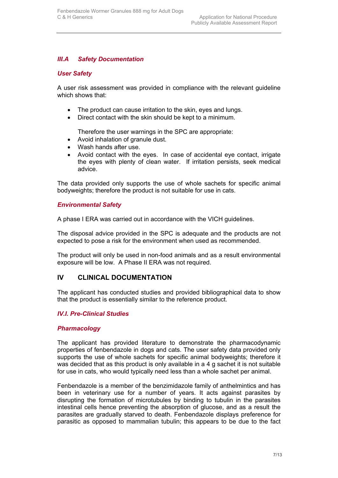## *III.A Safety Documentation*

#### *User Safety*

A user risk assessment was provided in compliance with the relevant guideline which shows that:

- The product can cause irritation to the skin, eyes and lungs.
- Direct contact with the skin should be kept to a minimum.

Therefore the user warnings in the SPC are appropriate:

- Avoid inhalation of granule dust.
- Wash hands after use.
- Avoid contact with the eyes. In case of accidental eye contact, irrigate the eyes with plenty of clean water. If irritation persists, seek medical advice.

The data provided only supports the use of whole sachets for specific animal bodyweights; therefore the product is not suitable for use in cats.

#### *Environmental Safety*

A phase I ERA was carried out in accordance with the VICH guidelines.

The disposal advice provided in the SPC is adequate and the products are not expected to pose a risk for the environment when used as recommended.

The product will only be used in non-food animals and as a result environmental exposure will be low. A Phase II ERA was not required.

## **IV CLINICAL DOCUMENTATION**

The applicant has conducted studies and provided bibliographical data to show that the product is essentially similar to the reference product.

## *IV.I. Pre-Clinical Studies*

#### *Pharmacology*

The applicant has provided literature to demonstrate the pharmacodynamic properties of fenbendazole in dogs and cats. The user safety data provided only supports the use of whole sachets for specific animal bodyweights; therefore it was decided that as this product is only available in a 4 g sachet it is not suitable for use in cats, who would typically need less than a whole sachet per animal.

Fenbendazole is a member of the benzimidazole family of anthelmintics and has been in veterinary use for a number of years. It acts against parasites by disrupting the formation of microtubules by binding to tubulin in the parasites intestinal cells hence preventing the absorption of glucose, and as a result the parasites are gradually starved to death. Fenbendazole displays preference for parasitic as opposed to mammalian tubulin; this appears to be due to the fact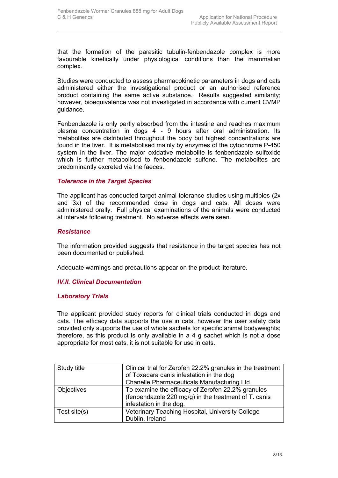that the formation of the parasitic tubulin-fenbendazole complex is more favourable kinetically under physiological conditions than the mammalian complex.

Studies were conducted to assess pharmacokinetic parameters in dogs and cats administered either the investigational product or an authorised reference product containing the same active substance. Results suggested similarity; however, bioequivalence was not investigated in accordance with current CVMP guidance.

Fenbendazole is only partly absorbed from the intestine and reaches maximum plasma concentration in dogs 4 - 9 hours after oral administration. Its metabolites are distributed throughout the body but highest concentrations are found in the liver. It is metabolised mainly by enzymes of the cytochrome P-450 system in the liver. The major oxidative metabolite is fenbendazole sulfoxide which is further metabolised to fenbendazole sulfone. The metabolites are predominantly excreted via the faeces.

#### *Tolerance in the Target Species*

The applicant has conducted target animal tolerance studies using multiples (2x and 3x) of the recommended dose in dogs and cats. All doses were administered orally. Full physical examinations of the animals were conducted at intervals following treatment. No adverse effects were seen.

#### *Resistance*

The information provided suggests that resistance in the target species has not been documented or published.

Adequate warnings and precautions appear on the product literature.

## *IV.II. Clinical Documentation*

## *Laboratory Trials*

The applicant provided study reports for clinical trials conducted in dogs and cats. The efficacy data supports the use in cats, however the user safety data provided only supports the use of whole sachets for specific animal bodyweights; therefore, as this product is only available in a 4 g sachet which is not a dose appropriate for most cats, it is not suitable for use in cats.

| Study title       | Clinical trial for Zerofen 22.2% granules in the treatment |
|-------------------|------------------------------------------------------------|
|                   | of Toxacara canis infestation in the dog                   |
|                   | Chanelle Pharmaceuticals Manufacturing Ltd.                |
| <b>Objectives</b> | To examine the efficacy of Zerofen 22.2% granules          |
|                   | (fenbendazole 220 mg/g) in the treatment of T. canis       |
|                   | infestation in the dog.                                    |
| Test site(s)      | Veterinary Teaching Hospital, University College           |
|                   | Dublin, Ireland                                            |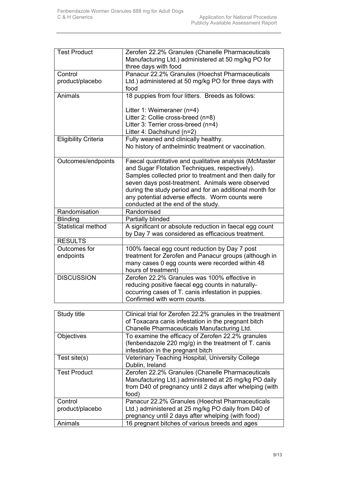| <b>Test Product</b>                                                                                                                                                                                                                                                                                                                                                                                                                                                                                                                                                                                                                                                                                                                                                                                                                                                                                                                                                                                                                                                                                                                                                                                                                                                                                                                                                                                                                                                                                                                                                                         | Zerofen 22.2% Granules (Chanelle Pharmaceuticals<br>Manufacturing Ltd.) administered at 50 mg/kg PO for |
|---------------------------------------------------------------------------------------------------------------------------------------------------------------------------------------------------------------------------------------------------------------------------------------------------------------------------------------------------------------------------------------------------------------------------------------------------------------------------------------------------------------------------------------------------------------------------------------------------------------------------------------------------------------------------------------------------------------------------------------------------------------------------------------------------------------------------------------------------------------------------------------------------------------------------------------------------------------------------------------------------------------------------------------------------------------------------------------------------------------------------------------------------------------------------------------------------------------------------------------------------------------------------------------------------------------------------------------------------------------------------------------------------------------------------------------------------------------------------------------------------------------------------------------------------------------------------------------------|---------------------------------------------------------------------------------------------------------|
|                                                                                                                                                                                                                                                                                                                                                                                                                                                                                                                                                                                                                                                                                                                                                                                                                                                                                                                                                                                                                                                                                                                                                                                                                                                                                                                                                                                                                                                                                                                                                                                             | three days with food                                                                                    |
| Control                                                                                                                                                                                                                                                                                                                                                                                                                                                                                                                                                                                                                                                                                                                                                                                                                                                                                                                                                                                                                                                                                                                                                                                                                                                                                                                                                                                                                                                                                                                                                                                     | Panacur 22.2% Granules (Hoechst Pharmaceuticals                                                         |
| product/placebo                                                                                                                                                                                                                                                                                                                                                                                                                                                                                                                                                                                                                                                                                                                                                                                                                                                                                                                                                                                                                                                                                                                                                                                                                                                                                                                                                                                                                                                                                                                                                                             | Ltd.) administered at 50 mg/kg PO for three days with<br>food                                           |
| Animals                                                                                                                                                                                                                                                                                                                                                                                                                                                                                                                                                                                                                                                                                                                                                                                                                                                                                                                                                                                                                                                                                                                                                                                                                                                                                                                                                                                                                                                                                                                                                                                     | 18 puppies from four litters. Breeds as follows:                                                        |
|                                                                                                                                                                                                                                                                                                                                                                                                                                                                                                                                                                                                                                                                                                                                                                                                                                                                                                                                                                                                                                                                                                                                                                                                                                                                                                                                                                                                                                                                                                                                                                                             |                                                                                                         |
|                                                                                                                                                                                                                                                                                                                                                                                                                                                                                                                                                                                                                                                                                                                                                                                                                                                                                                                                                                                                                                                                                                                                                                                                                                                                                                                                                                                                                                                                                                                                                                                             | Litter 1: Weimeraner (n=4)                                                                              |
|                                                                                                                                                                                                                                                                                                                                                                                                                                                                                                                                                                                                                                                                                                                                                                                                                                                                                                                                                                                                                                                                                                                                                                                                                                                                                                                                                                                                                                                                                                                                                                                             |                                                                                                         |
|                                                                                                                                                                                                                                                                                                                                                                                                                                                                                                                                                                                                                                                                                                                                                                                                                                                                                                                                                                                                                                                                                                                                                                                                                                                                                                                                                                                                                                                                                                                                                                                             |                                                                                                         |
|                                                                                                                                                                                                                                                                                                                                                                                                                                                                                                                                                                                                                                                                                                                                                                                                                                                                                                                                                                                                                                                                                                                                                                                                                                                                                                                                                                                                                                                                                                                                                                                             |                                                                                                         |
|                                                                                                                                                                                                                                                                                                                                                                                                                                                                                                                                                                                                                                                                                                                                                                                                                                                                                                                                                                                                                                                                                                                                                                                                                                                                                                                                                                                                                                                                                                                                                                                             |                                                                                                         |
|                                                                                                                                                                                                                                                                                                                                                                                                                                                                                                                                                                                                                                                                                                                                                                                                                                                                                                                                                                                                                                                                                                                                                                                                                                                                                                                                                                                                                                                                                                                                                                                             |                                                                                                         |
|                                                                                                                                                                                                                                                                                                                                                                                                                                                                                                                                                                                                                                                                                                                                                                                                                                                                                                                                                                                                                                                                                                                                                                                                                                                                                                                                                                                                                                                                                                                                                                                             |                                                                                                         |
|                                                                                                                                                                                                                                                                                                                                                                                                                                                                                                                                                                                                                                                                                                                                                                                                                                                                                                                                                                                                                                                                                                                                                                                                                                                                                                                                                                                                                                                                                                                                                                                             |                                                                                                         |
|                                                                                                                                                                                                                                                                                                                                                                                                                                                                                                                                                                                                                                                                                                                                                                                                                                                                                                                                                                                                                                                                                                                                                                                                                                                                                                                                                                                                                                                                                                                                                                                             | Samples collected prior to treatment and then daily for                                                 |
|                                                                                                                                                                                                                                                                                                                                                                                                                                                                                                                                                                                                                                                                                                                                                                                                                                                                                                                                                                                                                                                                                                                                                                                                                                                                                                                                                                                                                                                                                                                                                                                             | seven days post-treatment. Animals were observed                                                        |
|                                                                                                                                                                                                                                                                                                                                                                                                                                                                                                                                                                                                                                                                                                                                                                                                                                                                                                                                                                                                                                                                                                                                                                                                                                                                                                                                                                                                                                                                                                                                                                                             | during the study period and for an additional month for                                                 |
| Litter 2: Collie cross-breed (n=8)<br>Litter 3: Terrier cross-breed (n=4)<br>Litter 4: Dachshund (n=2)<br>Fully weaned and clinically healthy.<br><b>Eligibility Criteria</b><br>No history of anthelmintic treatment or vaccination.<br>Faecal quantitative and qualitative analysis (McMaster<br>Outcomes/endpoints<br>and Sugar Flotation Techniques, respectively).<br>any potential adverse effects. Worm counts were<br>conducted at the end of the study.<br>Randomisation<br>Randomised<br><b>Blinding</b><br>Partially blinded<br><b>Statistical method</b><br><b>RESULTS</b><br>Outcomes for<br>100% faecal egg count reduction by Day 7 post<br>endpoints<br>many cases 0 egg counts were recorded within 48<br>hours of treatment)<br><b>DISCUSSION</b><br>Zerofen 22.2% Granules was 100% effective in<br>reducing positive faecal egg counts in naturally-<br>occurring cases of T. canis infestation in puppies.<br>Confirmed with worm counts.<br>Study title<br>Clinical trial for Zerofen 22.2% granules in the treatment<br>of Toxacara canis infestation in the pregnant bitch<br>Chanelle Pharmaceuticals Manufacturing Ltd.<br>Objectives<br>To examine the efficacy of Zerofen 22.2% granules<br>(fenbendazole 220 mg/g) in the treatment of $T$ . canis<br>infestation in the pregnant bitch<br>Test site(s)<br>Veterinary Teaching Hospital, University College<br>Dublin, Ireland<br><b>Test Product</b><br>food)<br>Control<br>product/placebo<br>pregnancy until 2 days after whelping (with food)<br>Animals<br>16 pregnant bitches of various breeds and ages |                                                                                                         |
|                                                                                                                                                                                                                                                                                                                                                                                                                                                                                                                                                                                                                                                                                                                                                                                                                                                                                                                                                                                                                                                                                                                                                                                                                                                                                                                                                                                                                                                                                                                                                                                             |                                                                                                         |
|                                                                                                                                                                                                                                                                                                                                                                                                                                                                                                                                                                                                                                                                                                                                                                                                                                                                                                                                                                                                                                                                                                                                                                                                                                                                                                                                                                                                                                                                                                                                                                                             |                                                                                                         |
|                                                                                                                                                                                                                                                                                                                                                                                                                                                                                                                                                                                                                                                                                                                                                                                                                                                                                                                                                                                                                                                                                                                                                                                                                                                                                                                                                                                                                                                                                                                                                                                             |                                                                                                         |
|                                                                                                                                                                                                                                                                                                                                                                                                                                                                                                                                                                                                                                                                                                                                                                                                                                                                                                                                                                                                                                                                                                                                                                                                                                                                                                                                                                                                                                                                                                                                                                                             | A significant or absolute reduction in faecal egg count                                                 |
|                                                                                                                                                                                                                                                                                                                                                                                                                                                                                                                                                                                                                                                                                                                                                                                                                                                                                                                                                                                                                                                                                                                                                                                                                                                                                                                                                                                                                                                                                                                                                                                             | by Day 7 was considered as efficacious treatment.                                                       |
|                                                                                                                                                                                                                                                                                                                                                                                                                                                                                                                                                                                                                                                                                                                                                                                                                                                                                                                                                                                                                                                                                                                                                                                                                                                                                                                                                                                                                                                                                                                                                                                             |                                                                                                         |
|                                                                                                                                                                                                                                                                                                                                                                                                                                                                                                                                                                                                                                                                                                                                                                                                                                                                                                                                                                                                                                                                                                                                                                                                                                                                                                                                                                                                                                                                                                                                                                                             |                                                                                                         |
|                                                                                                                                                                                                                                                                                                                                                                                                                                                                                                                                                                                                                                                                                                                                                                                                                                                                                                                                                                                                                                                                                                                                                                                                                                                                                                                                                                                                                                                                                                                                                                                             | treatment for Zerofen and Panacur groups (although in                                                   |
|                                                                                                                                                                                                                                                                                                                                                                                                                                                                                                                                                                                                                                                                                                                                                                                                                                                                                                                                                                                                                                                                                                                                                                                                                                                                                                                                                                                                                                                                                                                                                                                             |                                                                                                         |
|                                                                                                                                                                                                                                                                                                                                                                                                                                                                                                                                                                                                                                                                                                                                                                                                                                                                                                                                                                                                                                                                                                                                                                                                                                                                                                                                                                                                                                                                                                                                                                                             |                                                                                                         |
|                                                                                                                                                                                                                                                                                                                                                                                                                                                                                                                                                                                                                                                                                                                                                                                                                                                                                                                                                                                                                                                                                                                                                                                                                                                                                                                                                                                                                                                                                                                                                                                             |                                                                                                         |
|                                                                                                                                                                                                                                                                                                                                                                                                                                                                                                                                                                                                                                                                                                                                                                                                                                                                                                                                                                                                                                                                                                                                                                                                                                                                                                                                                                                                                                                                                                                                                                                             |                                                                                                         |
|                                                                                                                                                                                                                                                                                                                                                                                                                                                                                                                                                                                                                                                                                                                                                                                                                                                                                                                                                                                                                                                                                                                                                                                                                                                                                                                                                                                                                                                                                                                                                                                             |                                                                                                         |
|                                                                                                                                                                                                                                                                                                                                                                                                                                                                                                                                                                                                                                                                                                                                                                                                                                                                                                                                                                                                                                                                                                                                                                                                                                                                                                                                                                                                                                                                                                                                                                                             |                                                                                                         |
|                                                                                                                                                                                                                                                                                                                                                                                                                                                                                                                                                                                                                                                                                                                                                                                                                                                                                                                                                                                                                                                                                                                                                                                                                                                                                                                                                                                                                                                                                                                                                                                             |                                                                                                         |
|                                                                                                                                                                                                                                                                                                                                                                                                                                                                                                                                                                                                                                                                                                                                                                                                                                                                                                                                                                                                                                                                                                                                                                                                                                                                                                                                                                                                                                                                                                                                                                                             |                                                                                                         |
|                                                                                                                                                                                                                                                                                                                                                                                                                                                                                                                                                                                                                                                                                                                                                                                                                                                                                                                                                                                                                                                                                                                                                                                                                                                                                                                                                                                                                                                                                                                                                                                             |                                                                                                         |
|                                                                                                                                                                                                                                                                                                                                                                                                                                                                                                                                                                                                                                                                                                                                                                                                                                                                                                                                                                                                                                                                                                                                                                                                                                                                                                                                                                                                                                                                                                                                                                                             |                                                                                                         |
|                                                                                                                                                                                                                                                                                                                                                                                                                                                                                                                                                                                                                                                                                                                                                                                                                                                                                                                                                                                                                                                                                                                                                                                                                                                                                                                                                                                                                                                                                                                                                                                             |                                                                                                         |
|                                                                                                                                                                                                                                                                                                                                                                                                                                                                                                                                                                                                                                                                                                                                                                                                                                                                                                                                                                                                                                                                                                                                                                                                                                                                                                                                                                                                                                                                                                                                                                                             |                                                                                                         |
|                                                                                                                                                                                                                                                                                                                                                                                                                                                                                                                                                                                                                                                                                                                                                                                                                                                                                                                                                                                                                                                                                                                                                                                                                                                                                                                                                                                                                                                                                                                                                                                             |                                                                                                         |
|                                                                                                                                                                                                                                                                                                                                                                                                                                                                                                                                                                                                                                                                                                                                                                                                                                                                                                                                                                                                                                                                                                                                                                                                                                                                                                                                                                                                                                                                                                                                                                                             |                                                                                                         |
|                                                                                                                                                                                                                                                                                                                                                                                                                                                                                                                                                                                                                                                                                                                                                                                                                                                                                                                                                                                                                                                                                                                                                                                                                                                                                                                                                                                                                                                                                                                                                                                             | Zerofen 22.2% Granules (Chanelle Pharmaceuticals                                                        |
|                                                                                                                                                                                                                                                                                                                                                                                                                                                                                                                                                                                                                                                                                                                                                                                                                                                                                                                                                                                                                                                                                                                                                                                                                                                                                                                                                                                                                                                                                                                                                                                             | Manufacturing Ltd.) administered at 25 mg/kg PO daily                                                   |
|                                                                                                                                                                                                                                                                                                                                                                                                                                                                                                                                                                                                                                                                                                                                                                                                                                                                                                                                                                                                                                                                                                                                                                                                                                                                                                                                                                                                                                                                                                                                                                                             | from D40 of pregnancy until 2 days after whelping (with                                                 |
|                                                                                                                                                                                                                                                                                                                                                                                                                                                                                                                                                                                                                                                                                                                                                                                                                                                                                                                                                                                                                                                                                                                                                                                                                                                                                                                                                                                                                                                                                                                                                                                             |                                                                                                         |
|                                                                                                                                                                                                                                                                                                                                                                                                                                                                                                                                                                                                                                                                                                                                                                                                                                                                                                                                                                                                                                                                                                                                                                                                                                                                                                                                                                                                                                                                                                                                                                                             | Panacur 22.2% Granules (Hoechst Pharmaceuticals                                                         |
|                                                                                                                                                                                                                                                                                                                                                                                                                                                                                                                                                                                                                                                                                                                                                                                                                                                                                                                                                                                                                                                                                                                                                                                                                                                                                                                                                                                                                                                                                                                                                                                             | Ltd.) administered at 25 mg/kg PO daily from D40 of                                                     |
|                                                                                                                                                                                                                                                                                                                                                                                                                                                                                                                                                                                                                                                                                                                                                                                                                                                                                                                                                                                                                                                                                                                                                                                                                                                                                                                                                                                                                                                                                                                                                                                             |                                                                                                         |
|                                                                                                                                                                                                                                                                                                                                                                                                                                                                                                                                                                                                                                                                                                                                                                                                                                                                                                                                                                                                                                                                                                                                                                                                                                                                                                                                                                                                                                                                                                                                                                                             |                                                                                                         |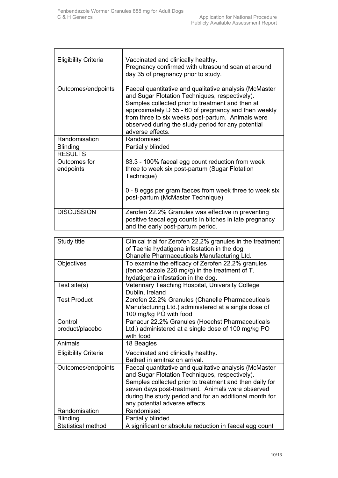| <b>Eligibility Criteria</b> | Vaccinated and clinically healthy.<br>Pregnancy confirmed with ultrasound scan at around<br>day 35 of pregnancy prior to study.                                                                                                                                                                                                                     |
|-----------------------------|-----------------------------------------------------------------------------------------------------------------------------------------------------------------------------------------------------------------------------------------------------------------------------------------------------------------------------------------------------|
| Outcomes/endpoints          | Faecal quantitative and qualitative analysis (McMaster<br>and Sugar Flotation Techniques, respectively).<br>Samples collected prior to treatment and then at<br>approximately D 55 - 60 of pregnancy and then weekly<br>from three to six weeks post-partum. Animals were<br>observed during the study period for any potential<br>adverse effects. |
| Randomisation               | Randomised                                                                                                                                                                                                                                                                                                                                          |
| <b>Blinding</b>             | Partially blinded                                                                                                                                                                                                                                                                                                                                   |
| <b>RESULTS</b>              |                                                                                                                                                                                                                                                                                                                                                     |
| Outcomes for<br>endpoints   | 83.3 - 100% faecal egg count reduction from week<br>three to week six post-partum (Sugar Flotation<br>Technique)<br>0 - 8 eggs per gram faeces from week three to week six                                                                                                                                                                          |
|                             | post-partum (McMaster Technique)                                                                                                                                                                                                                                                                                                                    |
| <b>DISCUSSION</b>           | Zerofen 22.2% Granules was effective in preventing<br>positive faecal egg counts in bitches in late pregnancy<br>and the early post-partum period.                                                                                                                                                                                                  |
| Study title                 | Clinical trial for Zerofen 22.2% granules in the treatment<br>of Taenia hydatigena infestation in the dog<br>Chanelle Pharmaceuticals Manufacturing Ltd.                                                                                                                                                                                            |
| Objectives                  | To examine the efficacy of Zerofen 22.2% granules<br>(fenbendazole 220 mg/g) in the treatment of T.<br>hydatigena infestation in the dog.                                                                                                                                                                                                           |
| Test site(s)                | Veterinary Teaching Hospital, University College<br>Dublin, Ireland                                                                                                                                                                                                                                                                                 |
| <b>Test Product</b>         | Zerofen 22.2% Granules (Chanelle Pharmaceuticals<br>Manufacturing Ltd.) administered at a single dose of<br>100 mg/kg PO with food                                                                                                                                                                                                                  |
| Control<br>product/placebo  | Panacur 22.2% Granules (Hoechst Pharmaceuticals<br>Ltd.) administered at a single dose of 100 mg/kg PO<br>with food                                                                                                                                                                                                                                 |
| Animals                     | 18 Beagles                                                                                                                                                                                                                                                                                                                                          |
| <b>Eligibility Criteria</b> | Vaccinated and clinically healthy.<br>Bathed in amitraz on arrival.                                                                                                                                                                                                                                                                                 |
| Outcomes/endpoints          | Faecal quantitative and qualitative analysis (McMaster<br>and Sugar Flotation Techniques, respectively).<br>Samples collected prior to treatment and then daily for<br>seven days post-treatment. Animals were observed<br>during the study period and for an additional month for<br>any potential adverse effects.                                |
| Randomisation               | Randomised                                                                                                                                                                                                                                                                                                                                          |
| <b>Blinding</b>             | Partially blinded                                                                                                                                                                                                                                                                                                                                   |
| <b>Statistical method</b>   | A significant or absolute reduction in faecal egg count                                                                                                                                                                                                                                                                                             |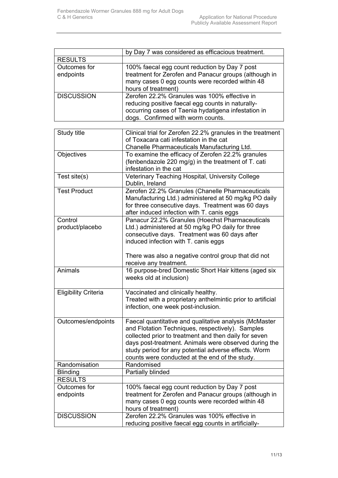|                             | by Day 7 was considered as efficacious treatment.           |
|-----------------------------|-------------------------------------------------------------|
| <b>RESULTS</b>              |                                                             |
| <b>Outcomes for</b>         | 100% faecal egg count reduction by Day 7 post               |
| endpoints                   | treatment for Zerofen and Panacur groups (although in       |
|                             | many cases 0 egg counts were recorded within 48             |
|                             | hours of treatment)                                         |
| <b>DISCUSSION</b>           | Zerofen 22.2% Granules was 100% effective in                |
|                             | reducing positive faecal egg counts in naturally-           |
|                             | occurring cases of Taenia hydatigena infestation in         |
|                             | dogs. Confirmed with worm counts.                           |
|                             |                                                             |
| Study title                 | Clinical trial for Zerofen 22.2% granules in the treatment  |
|                             | of Toxacara cati infestation in the cat                     |
|                             | Chanelle Pharmaceuticals Manufacturing Ltd.                 |
| <b>Objectives</b>           | To examine the efficacy of Zerofen 22.2% granules           |
|                             | (fenbendazole 220 mg/g) in the treatment of T. cati         |
|                             | infestation in the cat                                      |
| Test site(s)                | Veterinary Teaching Hospital, University College            |
|                             | Dublin, Ireland                                             |
| <b>Test Product</b>         | Zerofen 22.2% Granules (Chanelle Pharmaceuticals            |
|                             | Manufacturing Ltd.) administered at 50 mg/kg PO daily       |
|                             | for three consecutive days. Treatment was 60 days           |
|                             | after induced infection with T. canis eggs                  |
| Control                     | Panacur 22.2% Granules (Hoechst Pharmaceuticals             |
| product/placebo             | Ltd.) administered at 50 mg/kg PO daily for three           |
|                             | consecutive days. Treatment was 60 days after               |
|                             | induced infection with T. canis eggs                        |
|                             | There was also a negative control group that did not        |
|                             | receive any treatment.                                      |
| Animals                     | 16 purpose-bred Domestic Short Hair kittens (aged six       |
|                             | weeks old at inclusion)                                     |
|                             |                                                             |
| <b>Eligibility Criteria</b> | Vaccinated and clinically healthy.                          |
|                             | Treated with a proprietary anthelmintic prior to artificial |
|                             | infection, one week post-inclusion.                         |
|                             |                                                             |
| Outcomes/endpoints          | Faecal quantitative and qualitative analysis (McMaster      |
|                             | and Flotation Techniques, respectively). Samples            |
|                             | collected prior to treatment and then daily for seven       |
|                             | days post-treatment. Animals were observed during the       |
|                             | study period for any potential adverse effects. Worm        |
|                             | counts were conducted at the end of the study.              |
| Randomisation               | Randomised                                                  |
| <b>Blinding</b>             | Partially blinded                                           |
| <b>RESULTS</b>              |                                                             |
| Outcomes for                | 100% faecal egg count reduction by Day 7 post               |
| endpoints                   | treatment for Zerofen and Panacur groups (although in       |
|                             | many cases 0 egg counts were recorded within 48             |
|                             | hours of treatment)                                         |
| <b>DISCUSSION</b>           | Zerofen 22.2% Granules was 100% effective in                |
|                             | reducing positive faecal egg counts in artificially-        |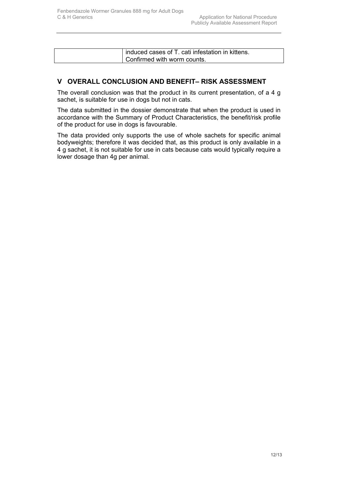|--|

## **V OVERALL CONCLUSION AND BENEFIT– RISK ASSESSMENT**

The overall conclusion was that the product in its current presentation, of a 4 g sachet, is suitable for use in dogs but not in cats.

The data submitted in the dossier demonstrate that when the product is used in accordance with the Summary of Product Characteristics, the benefit/risk profile of the product for use in dogs is favourable.

The data provided only supports the use of whole sachets for specific animal bodyweights; therefore it was decided that, as this product is only available in a 4 g sachet, it is not suitable for use in cats because cats would typically require a lower dosage than 4g per animal.